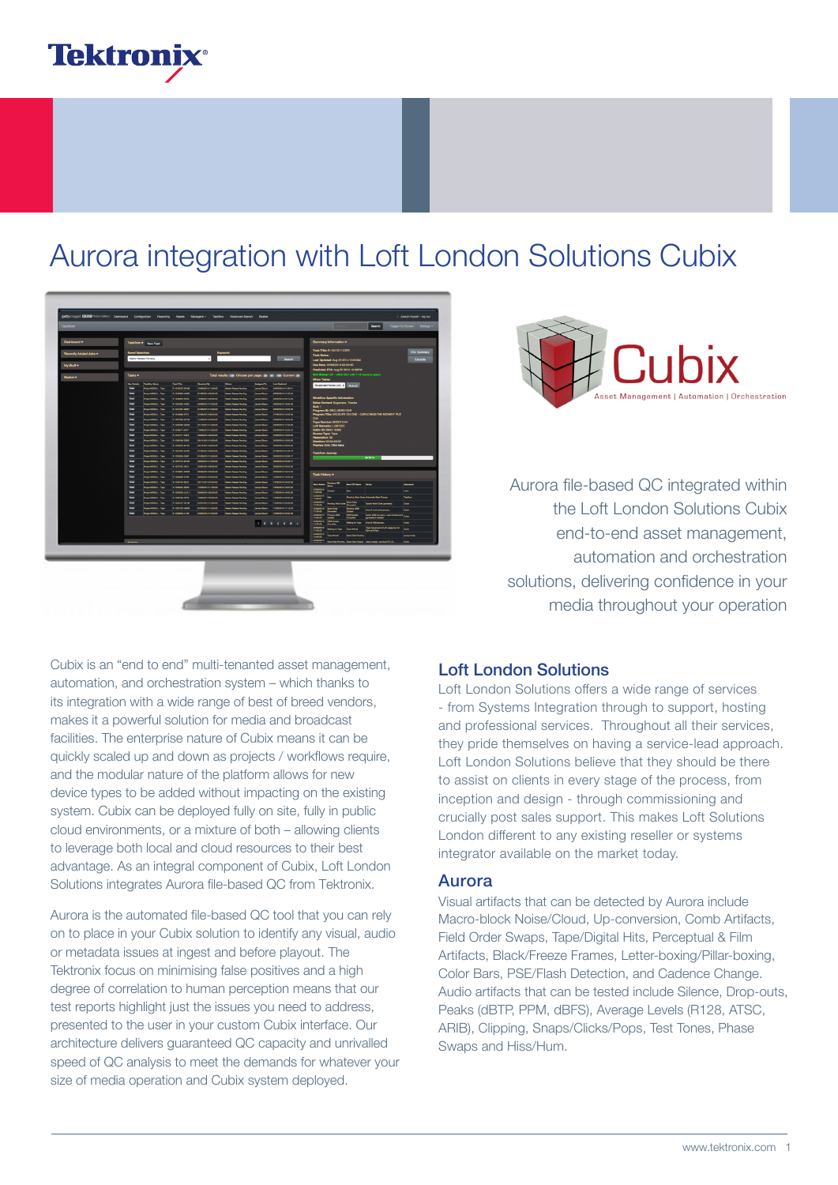

## Aurora integration with Loft London Solutions Cubix

| Dashboard A           | Taskflow A New Task                                                                             |                                                                                       |                                                                    |                                               |                                                     | Summary Information A                                                                                                 |                |  |
|-----------------------|-------------------------------------------------------------------------------------------------|---------------------------------------------------------------------------------------|--------------------------------------------------------------------|-----------------------------------------------|-----------------------------------------------------|-----------------------------------------------------------------------------------------------------------------------|----------------|--|
| Recently Added Jobs A | <b>Saved Searches:</b>                                                                          |                                                                                       |                                                                    |                                               |                                                     | <b>Task Title: R-1041017-05F3</b><br><b>Task Notes:</b>                                                               | EDL Summary    |  |
| My Stuff A            | Master Pelagua Pending                                                                          | $\cdot$                                                                               |                                                                    |                                               | Search                                              | Last Updated: Aug 25 2014 10:20AM<br>Due Date: 26/06/2014 02:00:00                                                    | Encalate       |  |
|                       |                                                                                                 |                                                                                       |                                                                    |                                               |                                                     | Predicted ETA: Aug 22 2014 10:30PM                                                                                    |                |  |
| Basket A              | Tasks A                                                                                         |                                                                                       | Total results (133) Choose per page: (26) (50) (100) Current (26)  |                                               |                                                     | SLA Status: OK - within SLA with 1.15 hours to spare.<br>Micro Tasks:                                                 |                |  |
|                       | <b>Box Details</b><br><b>Total Avenue</b>                                                       | Total Title<br><b>Business By</b>                                                     | se.                                                                | Antiques To                                   | <b>Card Galleried</b>                               | Reactivate Preview Link 1 Children                                                                                    |                |  |
|                       | <b>Your</b><br><b>Delaye MODEL - Taxe</b>                                                       | <b>BANKRAWN</b><br>100601411008                                                       | Manhattana Pendina                                                 | <b>James Gibaco</b>                           | <b>DAMAGES</b> FLOATS                               |                                                                                                                       |                |  |
|                       | <b>Your</b><br><b>Projet MODEL - Taxe</b><br><b>Video</b><br>Projet MODEL - Taxa                | 5.104209-2400<br><b>ELBARGULOLOGIE</b><br><b>B-10MAHLH00A</b><br>10080014050000       | Market Robert President<br>Market Tokosa Pending                   | <b>America</b> Chinany<br><b>James Gibson</b> | <b>DARANDIA FEDERAL</b><br><b>DARARONA DO-15.03</b> | Workflow Specific Information                                                                                         |                |  |
|                       | <b>Your</b><br>Print MODEL: Taxe                                                                | <b>B-1042000-10020</b><br>2005014120080                                               | Marie Tokace Pendru                                                | <b>James Gibson</b>                           | DARADONA VADELOS                                    | Sales Contact: Sugawara, Yosuka                                                                                       |                |  |
|                       | Way<br><b>Dealers McGriff</b> 1 - Texas                                                         | <b>Business and</b><br><b>STARROOM LEARNS</b>                                         | Marine Robana Pending                                              | <b>Service Primary</b>                        | <b><i>PARAROLA LA REGIS</i></b>                     | 88.811<br>Program ID: BBC_NBRD123R                                                                                    |                |  |
|                       | <b>Way</b><br><b>Business Markets 1. 1. Marco</b>                                               | <b>BANANGA ATTA</b><br><b>STAGEROUS READER</b>                                        | <b>Made Robert Pending</b>                                         | <b>Long Obert</b>                             | <b>STRANGA TRAVAL</b>                               | Program Title: WILDLIFE ON ONE - CAPUCHING:THE MONKEY PUZ                                                             |                |  |
|                       | <b>Wag</b><br><b>Business Market L. Thomas</b>                                                  | <b>A MERINA ART</b><br><b>SAMARINA BRANNI</b>                                         | <b>Marine School Section</b>                                       | <b>Service Colombia</b>                       | <b>RAMARINA VASANO</b>                              | 715                                                                                                                   |                |  |
|                       | <b>View</b><br>Project MSGAL - Two                                                              | A 1005066-0040<br><b>EDISABLE 12 ANAL</b>                                             | Maria Reisse Perding                                               | Ames Ghaze                                    | <b>DARANDIA 17-NA 09</b>                            | Tape Number: BKD011541<br>Loft Barcode: LL061522                                                                      |                |  |
|                       | <b>Man</b><br><b>Person Military - Taxa</b><br><b>Your</b><br><b>Driver MODAL</b> - Taxe        | <b>Business and</b><br>15060014190000<br>8-14103-003<br><b>DEBARGHA BOADAG</b>        | Many Robert Pending<br><b>Market Tokoson Parking</b>               | <b>America</b> Children<br><b>American</b>    | <b>INVANCIA 120518</b><br>DERMANA 19-00-21          | Cubix ID: BMG-10362<br><b>Bource Type: Tape</b>                                                                       |                |  |
|                       | <b>You</b><br>Projet MODEL - Taxe                                                               | In 1206186-0006<br><b>BARLBOIA 13-00-00</b>                                           | <b>Market Rebase Pending</b>                                       | James Gibson                                  | DERMONA 152023                                      | <b>Resolution: 5D</b>                                                                                                 |                |  |
|                       | Von<br>Project MODEL - Tape                                                                     | <b>BASINER MASS</b><br>06/12014 06:00:00                                              | <b>Marine Falsane Percing</b>                                      | Janes Gibson                                  | 33060014093132                                      | Duration: 00:33:59:00<br><b>Preview Link: Click here</b>                                                              |                |  |
|                       | Von<br>Project MODEL - Tape                                                                     | <b>IN 1007004 CFR</b><br>21050014 080000                                              | Marie Robert Perding                                               | James Obser                                   | <b>SLOWDON STORAK</b>                               | <b>Taskflow Journey</b>                                                                                               |                |  |
|                       | <b>Way</b><br>Project MODEL - Tape                                                              | A 122004-004<br>01060014180000                                                        | <b>Marine Fabrica Particip</b>                                     | مسده سبيدا                                    | 0000001433007                                       | 06.78%                                                                                                                |                |  |
|                       | Von<br><b>Project MODELL - Tape</b>                                                             | <b>Antenna ante</b><br><b>SERIEST4 1200.00</b>                                        | Market Published Printing                                          | <b>James Obecn</b>                            | 0000004393077                                       |                                                                                                                       |                |  |
|                       | <b>View</b><br><b>Pegan MGGHL - Tape</b><br>Von<br>Project MOGRA - Tape                         | <b>AMPROVAL</b><br>SSOLODY4 060000<br><b>B-STREET-COMS</b><br>05060014 0300.00        | <b>Market Fishmen Porching</b><br>Many Roses Perding               | <b>American</b><br><b>James Glosson</b>       | <b>DOMANA SERIES</b><br><b>INGROUA 18.10.10</b>     |                                                                                                                       |                |  |
|                       | <b>Your</b><br>Peges MGGAL - Tape                                                               | 5-100906-0745<br>09060014050000                                                       | Maria Robara Pandro                                                | <b>America</b> Chinese                        | 1008001413-0143                                     | <b>Task History A</b>                                                                                                 |                |  |
|                       | West<br>Project MODEL - Tape                                                                    | <b>A 1285745-00JP</b><br><b>GARLEON 23-00-00</b>                                      | Market Robinson Presiding                                          | <b>James Gibson</b>                           | <b>HARANDIA DO CO-TE</b>                            | <b>Search Street, Tenants</b><br>- -                                                                                  |                |  |
|                       | View<br>Print MODEL: Taxe                                                                       | <b>IN 1004456-0066</b><br>1506001417-0080                                             | <b>Marine Falsage Pending</b>                                      | <b>James Gibson</b>                           | <b>NASADONA VADEZO</b>                              | <b>Bata Added</b> President TST                                                                                       | مستسدا         |  |
|                       | <b>Way</b><br>Project MODEL - Tape                                                              | <b>A10MID127.1</b><br>050501400000                                                    | Marine Policies President                                          | <b>James Observ</b>                           | <b>COMMON FRANCE</b>                                | 20484014<br>Owner<br>∽<br><b>SEGREDONA</b>                                                                            | بمجما          |  |
|                       | <b>Wee</b><br>Peace MODEL - Tape                                                                | A 1094109-CITH<br>18060014300000                                                      | <b>Marine Returns Pending</b>                                      | <b>James Obecn</b>                            | 15060014300043                                      | h.<br><b>Rending Work Order Automatic State Orange</b><br>120604                                                      | <b>Tachbon</b> |  |
|                       | <b>Wag</b><br><b>Retail Middle L. Taxa</b><br><b>Water</b><br><b>Deliver Middle L. L. Tang.</b> | A sheeps area<br><b>SARANDA LEASAN</b><br>A sheeped Januar<br><b>STARBOLL 15 ANAL</b> | <b>Manufacturer Process</b><br><b>Market Belleville, President</b> | <b>Company Primaries</b><br><b>American</b>   | <b>SAFARINA MARCHI</b><br><b>SARARINA VI-SERA</b>   | <b>ELGANCIA</b><br><b><i><u><u>ALEXANDER PORTON</u></u></i></b><br><b>Xylech Work Critic government</b>               | سما            |  |
|                       | <b>You</b><br><b>Person Military - Times</b>                                                    | A MANAGELAND<br><b>SANADA ISANA</b>                                                   | Manufacturer Percent                                               | <b>James Gibson</b>                           | <b>COMMON DERLIN</b>                                | 10444014<br><b>Bally</b><br>Pending Okt<br><b>End of work only process</b>                                            | سما            |  |
|                       |                                                                                                 |                                                                                       |                                                                    |                                               |                                                     | 05444014<br><b>Package ONS</b><br><b>ONTIGAN</b><br>Cubic OMS company / user checked and regular<br>TEASAN            |                |  |
|                       |                                                                                                 |                                                                                       |                                                                    |                                               | 123456                                              | 15444014<br>CARS Lincoln<br><b>Dist of OHS process</b><br>Walling for Taxa<br><b>TEASAN</b>                           | <b>Call</b>    |  |
|                       |                                                                                                 |                                                                                       |                                                                    |                                               |                                                     | Tape has arrived at Loft, assigning for<br>figure and figure<br>ESSEASON<br>Walker for Taxa<br><b>Service Andrews</b> | <b>Company</b> |  |
|                       |                                                                                                 |                                                                                       |                                                                    |                                               |                                                     |                                                                                                                       |                |  |
|                       |                                                                                                 |                                                                                       |                                                                    |                                               |                                                     | 10080014<br><b>Tape Artual</b><br><b>American Funding</b><br>25464014                                                 | gurdemates     |  |



Aurora file-based QC integrated within the Loft London Solutions Cubix end-to-end asset management, automation and orchestration solutions, delivering confidence in your media throughout your operation

Cubix is an "end to end" multi-tenanted asset management, automation, and orchestration system – which thanks to its integration with a wide range of best of breed vendors, makes it a powerful solution for media and broadcast facilities. The enterprise nature of Cubix means it can be quickly scaled up and down as projects / workflows require, and the modular nature of the platform allows for new device types to be added without impacting on the existing system. Cubix can be deployed fully on site, fully in public cloud environments, or a mixture of both – allowing clients to leverage both local and cloud resources to their best advantage. As an integral component of Cubix, Loft London Solutions integrates Aurora file-based QC from Tektronix.

Aurora is the automated file-based QC tool that you can rely on to place in your Cubix solution to identify any visual, audio or metadata issues at ingest and before playout. The Tektronix focus on minimising false positives and a high degree of correlation to human perception means that our test reports highlight just the issues you need to address, presented to the user in your custom Cubix interface. Our architecture delivers guaranteed QC capacity and unrivalled speed of QC analysis to meet the demands for whatever your size of media operation and Cubix system deployed.

### Loft London Solutions

Loft London Solutions offers a wide range of services - from Systems Integration through to support, hosting and professional services. Throughout all their services, they pride themselves on having a service-lead approach. Loft London Solutions believe that they should be there to assist on clients in every stage of the process, from inception and design - through commissioning and crucially post sales support. This makes Loft Solutions London different to any existing reseller or systems integrator available on the market today.

#### Aurora

Visual artifacts that can be detected by Aurora include Macro-block Noise/Cloud, Up-conversion, Comb Artifacts, Field Order Swaps, Tape/Digital Hits, Perceptual & Film Artifacts, Black/Freeze Frames, Letter-boxing/Pillar-boxing, Color Bars, PSE/Flash Detection, and Cadence Change. Audio artifacts that can be tested include Silence, Drop-outs, Peaks (dBTP, PPM, dBFS), Average Levels (R128, ATSC, ARIB), Clipping, Snaps/Clicks/Pops, Test Tones, Phase Swaps and Hiss/Hum.